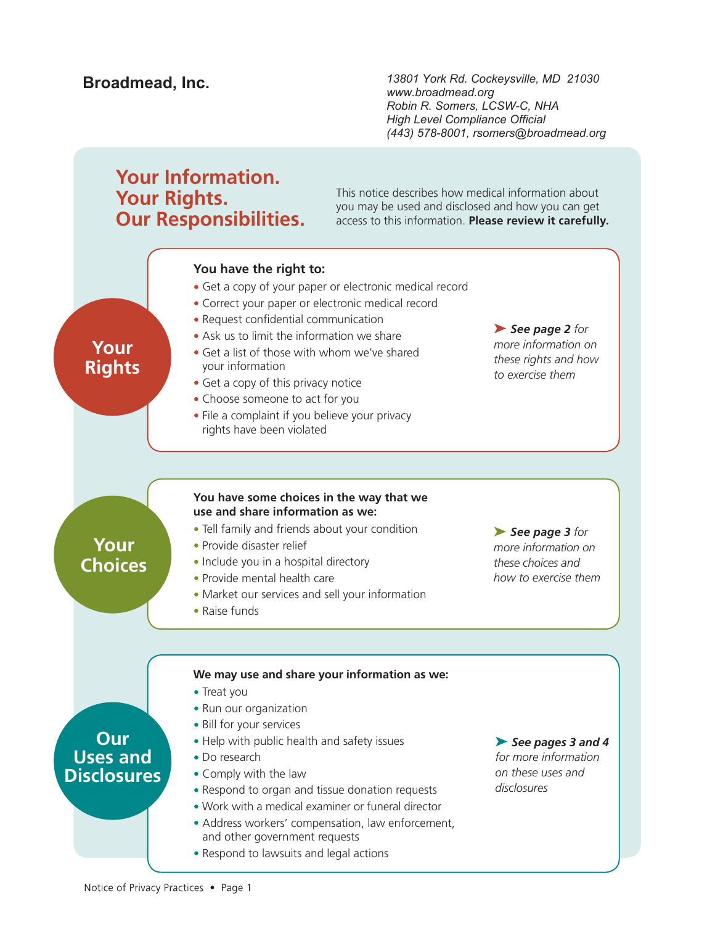**Broadmead, Inc.** *<sup>13801</sup> York Rd. Cockeysville, MD <sup>21030</sup> www.broadmead.org Robin R. Somers, LCSW-C, NHA High Level Compliance Official (443) 578-8001, rsomers@broadmead.org*

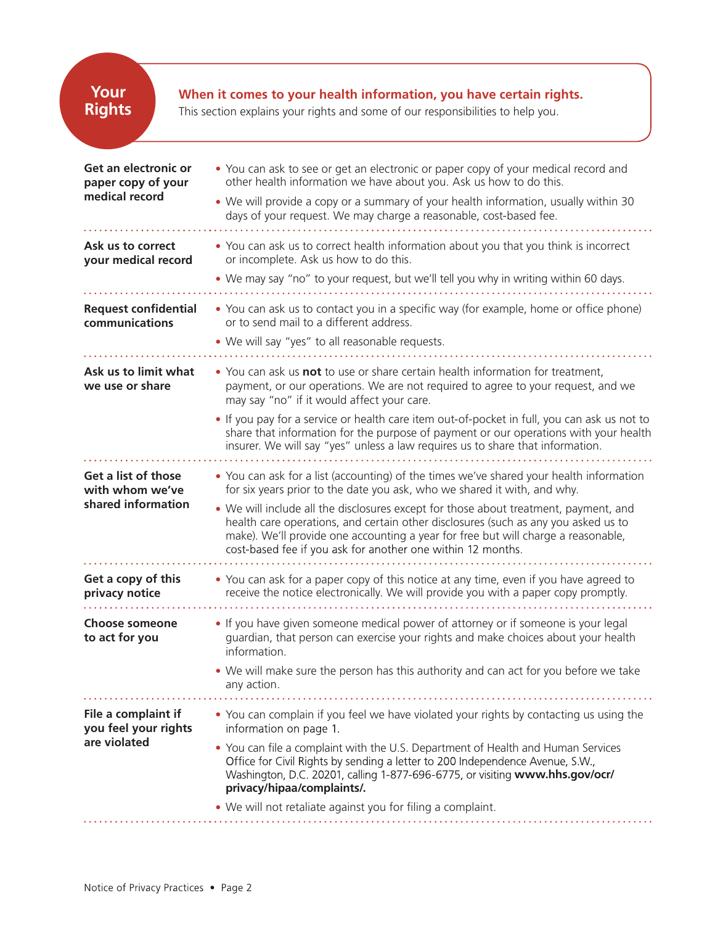| Your<br><b>Rights</b>                                        | When it comes to your health information, you have certain rights.<br>This section explains your rights and some of our responsibilities to help you.                                                                                                                                                                          |
|--------------------------------------------------------------|--------------------------------------------------------------------------------------------------------------------------------------------------------------------------------------------------------------------------------------------------------------------------------------------------------------------------------|
| Get an electronic or<br>paper copy of your<br>medical record | • You can ask to see or get an electronic or paper copy of your medical record and<br>other health information we have about you. Ask us how to do this.                                                                                                                                                                       |
|                                                              | • We will provide a copy or a summary of your health information, usually within 30<br>days of your request. We may charge a reasonable, cost-based fee.                                                                                                                                                                       |
| Ask us to correct<br>your medical record                     | • You can ask us to correct health information about you that you think is incorrect<br>or incomplete. Ask us how to do this.                                                                                                                                                                                                  |
|                                                              | . We may say "no" to your request, but we'll tell you why in writing within 60 days.                                                                                                                                                                                                                                           |
| <b>Request confidential</b><br>communications                | • You can ask us to contact you in a specific way (for example, home or office phone)<br>or to send mail to a different address.                                                                                                                                                                                               |
|                                                              | . We will say "yes" to all reasonable requests.                                                                                                                                                                                                                                                                                |
| Ask us to limit what<br>we use or share                      | • You can ask us <b>not</b> to use or share certain health information for treatment,<br>payment, or our operations. We are not required to agree to your request, and we<br>may say "no" if it would affect your care.                                                                                                        |
|                                                              | . If you pay for a service or health care item out-of-pocket in full, you can ask us not to<br>share that information for the purpose of payment or our operations with your health<br>insurer. We will say "yes" unless a law requires us to share that information.                                                          |
| Get a list of those<br>with whom we've<br>shared information | • You can ask for a list (accounting) of the times we've shared your health information<br>for six years prior to the date you ask, who we shared it with, and why.                                                                                                                                                            |
|                                                              | • We will include all the disclosures except for those about treatment, payment, and<br>health care operations, and certain other disclosures (such as any you asked us to<br>make). We'll provide one accounting a year for free but will charge a reasonable,<br>cost-based fee if you ask for another one within 12 months. |
| Get a copy of this<br>privacy notice                         | • You can ask for a paper copy of this notice at any time, even if you have agreed to<br>receive the notice electronically. We will provide you with a paper copy promptly.                                                                                                                                                    |
| <b>Choose someone</b><br>to act for you                      | • If you have given someone medical power of attorney or if someone is your legal<br>guardian, that person can exercise your rights and make choices about your health<br>information.                                                                                                                                         |
|                                                              | • We will make sure the person has this authority and can act for you before we take<br>any action.                                                                                                                                                                                                                            |
| File a complaint if<br>you feel your rights                  | . You can complain if you feel we have violated your rights by contacting us using the<br>information on page 1.                                                                                                                                                                                                               |
| are violated                                                 | • You can file a complaint with the U.S. Department of Health and Human Services<br>Office for Civil Rights by sending a letter to 200 Independence Avenue, S.W.,<br>Washington, D.C. 20201, calling 1-877-696-6775, or visiting www.hhs.gov/ocr/<br>privacy/hipaa/complaints/.                                                |
|                                                              | • We will not retaliate against you for filing a complaint.                                                                                                                                                                                                                                                                    |
|                                                              |                                                                                                                                                                                                                                                                                                                                |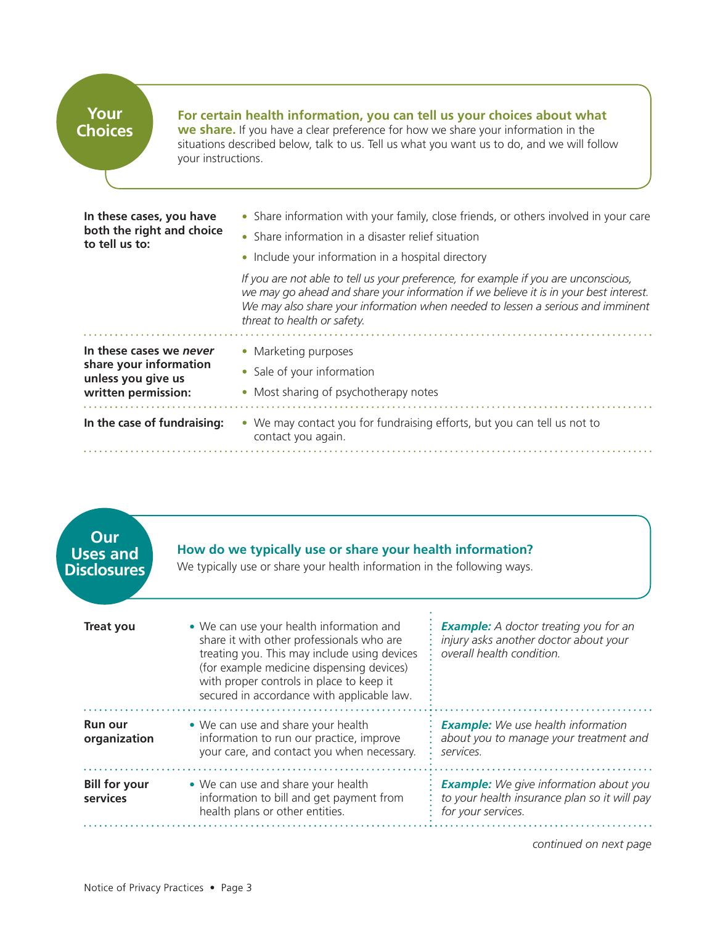## **Your Choices**

## **For certain health information, you can tell us your choices about what**

**we share.** If you have a clear preference for how we share your information in the situations described below, talk to us. Tell us what you want us to do, and we will follow your instructions.

| In these cases, you have  |
|---------------------------|
| both the right and choice |
| to tell us to:            |

- Share information with your family, close friends, or others involved in your care
- Share information in a disaster relief situation

• Marketing purposes • Sale of your information

• Include your information in a hospital directory

*If you are not able to tell us your preference, for example if you are unconscious, we may go ahead and share your information if we believe it is in your best interest. We may also share your information when needed to lessen a serious and imminent threat to health or safety.*

**In these cases we** *never* **share your information unless you give us written permission:** 

- Most sharing of psychotherapy notes
- **In the case of fundraising:** We may contact you for fundraising efforts, but you can tell us not to contact you again.

| Our<br>Uses and<br><b>Disclosures</b> | How do we typically use or share your health information?<br>We typically use or share your health information in the following ways.                                                                                                                                        |                                                                                                                     |  |
|---------------------------------------|------------------------------------------------------------------------------------------------------------------------------------------------------------------------------------------------------------------------------------------------------------------------------|---------------------------------------------------------------------------------------------------------------------|--|
| <b>Treat you</b>                      | • We can use your health information and<br>share it with other professionals who are<br>treating you. This may include using devices<br>(for example medicine dispensing devices)<br>with proper controls in place to keep it<br>secured in accordance with applicable law. | <b>Example:</b> A doctor treating you for an<br>injury asks another doctor about your<br>overall health condition.  |  |
| <b>Run our</b><br>organization        | • We can use and share your health<br>information to run our practice, improve<br>your care, and contact you when necessary.                                                                                                                                                 | <b>Example:</b> We use health information<br>about you to manage your treatment and<br>services.                    |  |
| <b>Bill for your</b><br>services      | • We can use and share your health<br>information to bill and get payment from<br>health plans or other entities.                                                                                                                                                            | <b>Example:</b> We give information about you<br>to your health insurance plan so it will pay<br>for your services. |  |
|                                       |                                                                                                                                                                                                                                                                              |                                                                                                                     |  |

*continued on next page*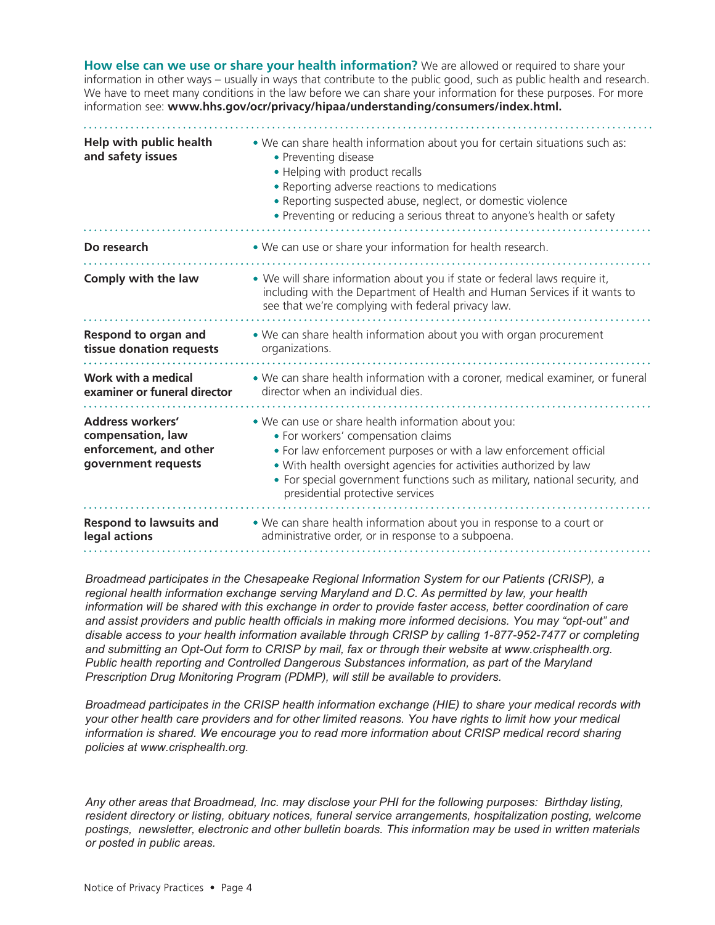**How else can we use or share your health information?** We are allowed or required to share your information in other ways – usually in ways that contribute to the public good, such as public health and research. We have to meet many conditions in the law before we can share your information for these purposes. For more information see: **www.hhs.gov/ocr/privacy/hipaa/understanding/consumers/index.html.**

| Help with public health<br>and safety issues                                           | . We can share health information about you for certain situations such as:<br>• Preventing disease<br>• Helping with product recalls<br>• Reporting adverse reactions to medications<br>• Reporting suspected abuse, neglect, or domestic violence<br>• Preventing or reducing a serious threat to anyone's health or safety                          |
|----------------------------------------------------------------------------------------|--------------------------------------------------------------------------------------------------------------------------------------------------------------------------------------------------------------------------------------------------------------------------------------------------------------------------------------------------------|
| Do research                                                                            | . We can use or share your information for health research.                                                                                                                                                                                                                                                                                            |
| Comply with the law                                                                    | . We will share information about you if state or federal laws require it,<br>including with the Department of Health and Human Services if it wants to<br>see that we're complying with federal privacy law.                                                                                                                                          |
| Respond to organ and<br>tissue donation requests                                       | • We can share health information about you with organ procurement<br>organizations.                                                                                                                                                                                                                                                                   |
| Work with a medical<br>examiner or funeral director                                    | . We can share health information with a coroner, medical examiner, or funeral<br>director when an individual dies.                                                                                                                                                                                                                                    |
| Address workers'<br>compensation, law<br>enforcement, and other<br>government requests | . We can use or share health information about you:<br>• For workers' compensation claims<br>• For law enforcement purposes or with a law enforcement official<br>. With health oversight agencies for activities authorized by law<br>• For special government functions such as military, national security, and<br>presidential protective services |
| <b>Respond to lawsuits and</b><br>legal actions                                        | . We can share health information about you in response to a court or<br>administrative order, or in response to a subpoena.                                                                                                                                                                                                                           |

*Broadmead participates in the Chesapeake Regional Information System for our Patients (CRISP), a regional health information exchange serving Maryland and D.C. As permitted by law, your health information will be shared with this exchange in order to provide faster access, better coordination of care and assist providers and public health officials in making more informed decisions. You may "opt-out" and disable access to your health information available through CRISP by calling 1-877-952-7477 or completing and submitting an Opt-Out form to CRISP by mail, fax or through their website at www.crisphealth.org. Public health reporting and Controlled Dangerous Substances information, as part of the Maryland Prescription Drug Monitoring Program (PDMP), will still be available to providers.* 

*Broadmead participates in the CRISP health information exchange (HIE) to share your medical records with your other health care providers and for other limited reasons. You have rights to limit how your medical information is shared. We encourage you to read more information about CRISP medical record sharing policies at www.crisphealth.org.* 

*Any other areas that Broadmead, Inc. may disclose your PHI for the following purposes: Birthday listing, resident directory or listing, obituary notices, funeral service arrangements, hospitalization posting, welcome postings, newsletter, electronic and other bulletin boards. This information may be used in written materials or posted in public areas.*